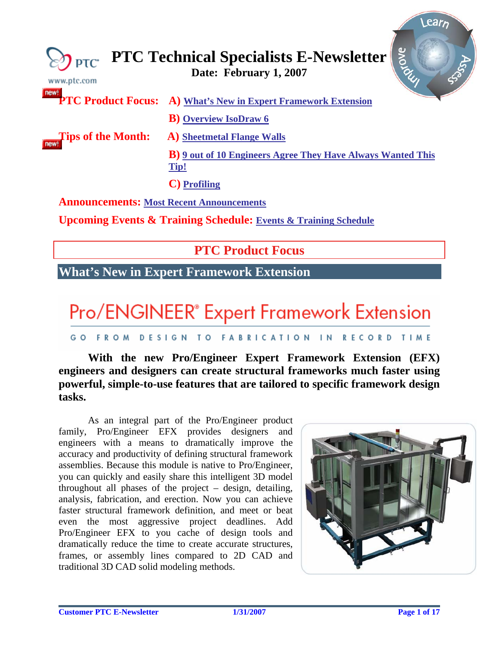<span id="page-0-0"></span>

| www.ptc.com                                     | Riove<br>$\bigotimes_{\mathsf{PTC}}$ PTC Technical Specialists E-Newsletter |
|-------------------------------------------------|-----------------------------------------------------------------------------|
|                                                 | <b>PTC Product Focus:</b> A) What's New in Expert Framework Extension       |
|                                                 | <b>B</b> ) Overview IsoDraw 6                                               |
| <b>Tips of the Month:</b>                       | <b>A)</b> Sheetmetal Flange Walls                                           |
|                                                 | <b>B</b> ) 9 out of 10 Engineers Agree They Have Always Wanted This<br>Tip! |
|                                                 | <b>C</b> ) Profiling                                                        |
| <b>Announcements: Most Recent Announcements</b> |                                                                             |

**Upcoming Events & Training Schedule: [Events & Training Schedule](#page-15-0)**

### **PTC Product Focus**

### **What's New in Expert Framework Extension**

# Pro/ENGINEER® Expert Framework Extension

#### GO FROM DESIGN TO FABRICATION IN RECORD TIME

### **With the new Pro/Engineer Expert Framework Extension (EFX) engineers and designers can create structural frameworks much faster using powerful, simple-to-use features that are tailored to specific framework design tasks.**

As an integral part of the Pro/Engineer product family, Pro/Engineer EFX provides designers and engineers with a means to dramatically improve the accuracy and productivity of defining structural framework assemblies. Because this module is native to Pro/Engineer, you can quickly and easily share this intelligent 3D model throughout all phases of the project – design, detailing, analysis, fabrication, and erection. Now you can achieve faster structural framework definition, and meet or beat even the most aggressive project deadlines. Add Pro/Engineer EFX to you cache of design tools and dramatically reduce the time to create accurate structures, frames, or assembly lines compared to 2D CAD and traditional 3D CAD solid modeling methods.



lear<sub>n</sub>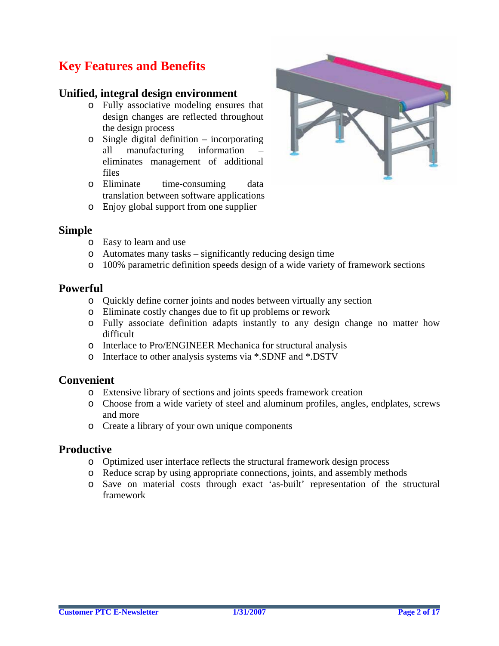### **Key Features and Benefits**

### **Unified, integral design environment**

- o Fully associative modeling ensures that design changes are reflected throughout the design process
- o Single digital definition incorporating all manufacturing information – eliminates management of additional files
- o Eliminate time-consuming data translation between software applications
- o Enjoy global support from one supplier



### **Simple**

- o Easy to learn and use
- o Automates many tasks significantly reducing design time
- o 100% parametric definition speeds design of a wide variety of framework sections

### **Powerful**

- o Quickly define corner joints and nodes between virtually any section
- o Eliminate costly changes due to fit up problems or rework
- o Fully associate definition adapts instantly to any design change no matter how difficult
- o Interlace to Pro/ENGINEER Mechanica for structural analysis
- o Interface to other analysis systems via \*.SDNF and \*.DSTV

### **Convenient**

- o Extensive library of sections and joints speeds framework creation
- o Choose from a wide variety of steel and aluminum profiles, angles, endplates, screws and more
- o Create a library of your own unique components

### **Productive**

- o Optimized user interface reflects the structural framework design process
- o Reduce scrap by using appropriate connections, joints, and assembly methods
- o Save on material costs through exact 'as-built' representation of the structural framework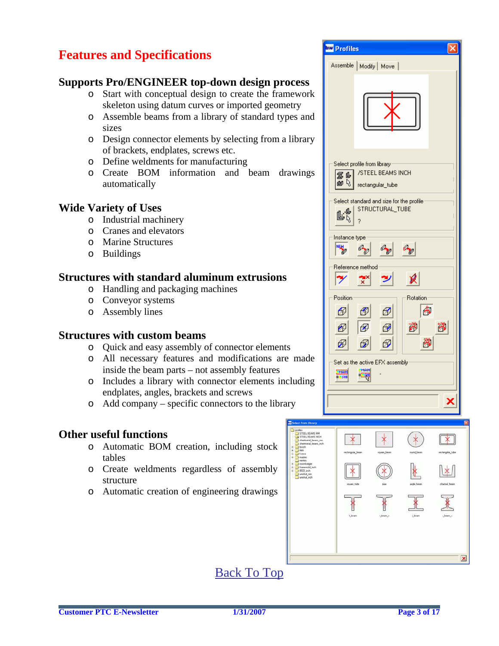### **Features and Specifications**

### **Supports Pro/ENGINEER top-down design process**

- o Start with conceptual design to create the framework skeleton using datum curves or imported geometry
- o Assemble beams from a library of standard types and sizes
- o Design connector elements by selecting from a library of brackets, endplates, screws etc.
- o Define weldments for manufacturing
- o Create BOM information and beam drawings automatically

### **Wide Variety of Uses**

- o Industrial machinery
- o Cranes and elevators
- o Marine Structures
- o Buildings

### **Structures with standard aluminum extrusions**

- o Handling and packaging machines
- o Conveyor systems
- o Assembly lines

### **Structures with custom beams**

- o Quick and easy assembly of connector elements
- o All necessary features and modifications are made inside the beam parts – not assembly features
- o Includes a library with connector elements including endplates, angles, brackets and screws
- o Add company specific connectors to the library

### **Other useful functions**

- o Automatic BOM creation, including stock tables
- o Create weldments regardless of assembly structure
- o Automatic creation of engineering drawings

| <b>Eva</b> Profiles                                                                                                           |
|-------------------------------------------------------------------------------------------------------------------------------|
| Assemble   Modify   Move                                                                                                      |
|                                                                                                                               |
| Select profile from library-<br>/STEEL BEAMS INCH<br>軍山<br>四日<br>rectangular_tube<br>Select standard and size for the profile |
| STRUCTURAL_TUBE<br>Ŀ¢<br>?                                                                                                    |
| Instance type<br>陽<br>8<br>R<br>ap                                                                                            |
| Reference method<br>$ \mathcal{Y} $<br>jΧ                                                                                     |
| Position<br><b>Rotation</b><br>ß<br>⊕<br>⊕<br>⊕<br>瀏<br>づ<br>$\bigcirc$<br>⊕<br>⊛<br>器<br>⊕<br>⊕<br>⊕                         |
| Set as the active EFX assembly<br>MAIN<br>MAIN<br><b>B-SUB</b>                                                                |
|                                                                                                                               |
|                                                                                                                               |



 $\pmb{\times}$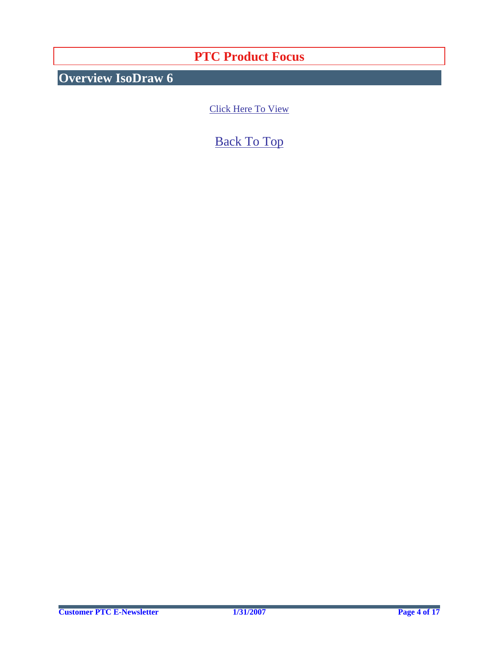### **PTC Product Focus**

<span id="page-3-0"></span>**Overview IsoDraw 6** 

[Click Here To View](http://members.shaw.ca/jpeng/newsletter/PTC_Technical_Specialists_E-Newsletter_02-01-2007_enterprise.pdf)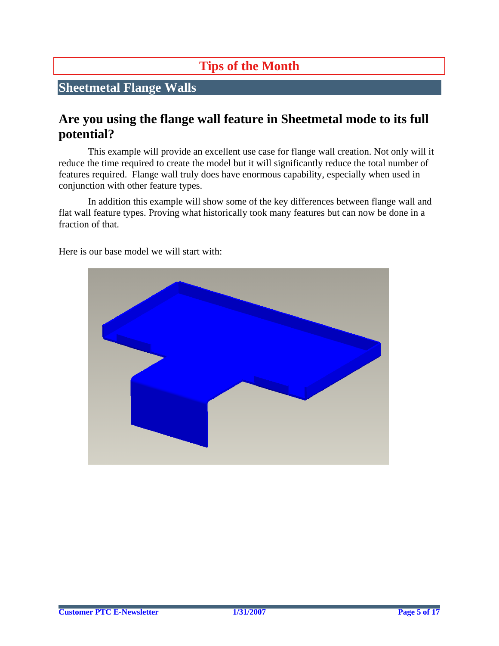## **Tips of the Month**

### <span id="page-4-0"></span>**Sheetmetal Flange Walls**

### **Are you using the flange wall feature in Sheetmetal mode to its full potential?**

This example will provide an excellent use case for flange wall creation. Not only will it reduce the time required to create the model but it will significantly reduce the total number of features required. Flange wall truly does have enormous capability, especially when used in conjunction with other feature types.

In addition this example will show some of the key differences between flange wall and flat wall feature types. Proving what historically took many features but can now be done in a fraction of that.



Here is our base model we will start with: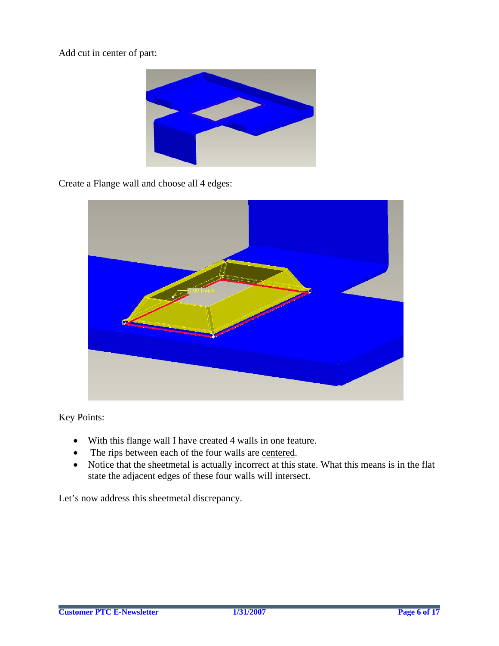Add cut in center of part:



Create a Flange wall and choose all 4 edges:



Key Points:

- With this flange wall I have created 4 walls in one feature.
- The rips between each of the four walls are centered.
- Notice that the sheetmetal is actually incorrect at this state. What this means is in the flat state the adjacent edges of these four walls will intersect.

Let's now address this sheetmetal discrepancy.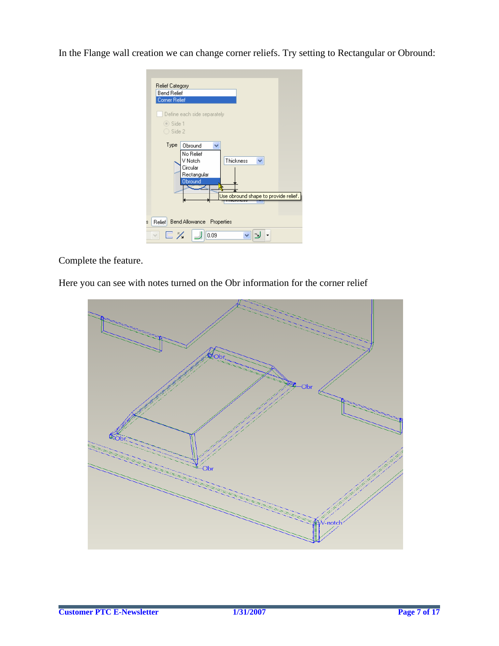In the Flange wall creation we can change corner reliefs. Try setting to Rectangular or Obround:

| Relief Category                                                                                                                                                                                         |  |
|---------------------------------------------------------------------------------------------------------------------------------------------------------------------------------------------------------|--|
| <b>Bend Relief</b>                                                                                                                                                                                      |  |
| <b>Corner Relief</b>                                                                                                                                                                                    |  |
| Define each side separately<br>$\odot$ Side 1<br>Side 2<br>Type<br>Obround<br>v<br>No Relief<br>Thickness<br>V Notch<br>×<br>Circular<br>Rectangular<br>Obround<br>Use obround shape to provide relief. |  |
| Bend Allowance Properties<br>Relief<br>s                                                                                                                                                                |  |
| $\sqsubseteq$ $\times$<br>$\checkmark$<br>0.09                                                                                                                                                          |  |

Complete the feature.

Here you can see with notes turned on the Obr information for the corner relief

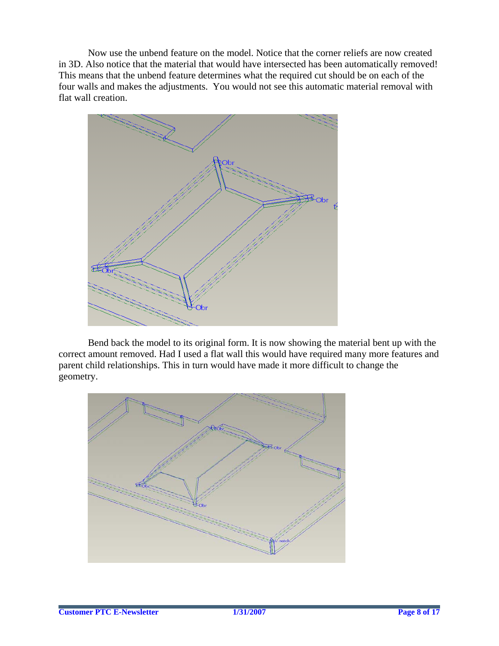Now use the unbend feature on the model. Notice that the corner reliefs are now created in 3D. Also notice that the material that would have intersected has been automatically removed! This means that the unbend feature determines what the required cut should be on each of the four walls and makes the adjustments. You would not see this automatic material removal with flat wall creation.



Bend back the model to its original form. It is now showing the material bent up with the correct amount removed. Had I used a flat wall this would have required many more features and parent child relationships. This in turn would have made it more difficult to change the geometry.

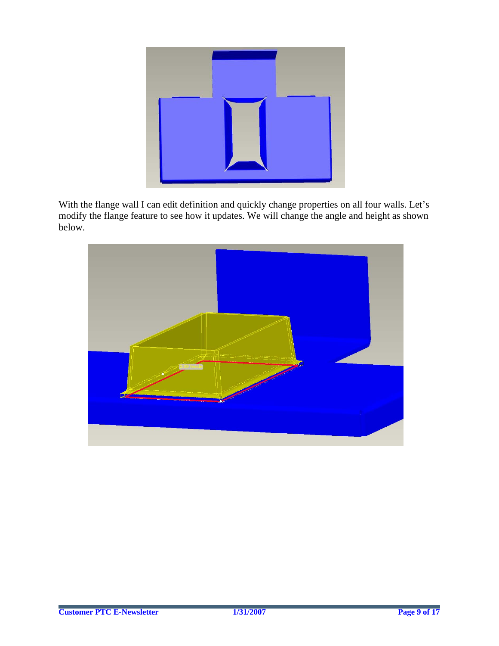

With the flange wall I can edit definition and quickly change properties on all four walls. Let's modify the flange feature to see how it updates. We will change the angle and height as shown below.

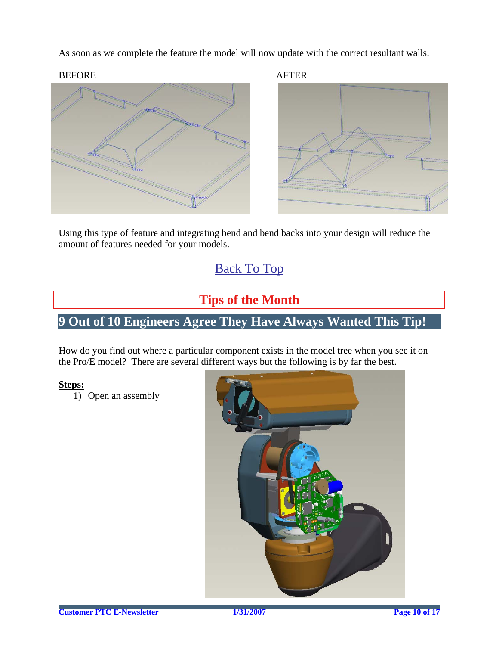<span id="page-9-0"></span>As soon as we complete the feature the model will now update with the correct resultant walls.

#### BEFORE AFTER



Using this type of feature and integrating bend and bend backs into your design will reduce the amount of features needed for your models.

### [Back To Top](#page-0-0)

### **Tips of the Month**

### **9 Out of 10 Engineers Agree They Have Always Wanted This Tip!**

How do you find out where a particular component exists in the model tree when you see it on the Pro/E model? There are several different ways but the following is by far the best.

#### **Steps:**

1) Open an assembly

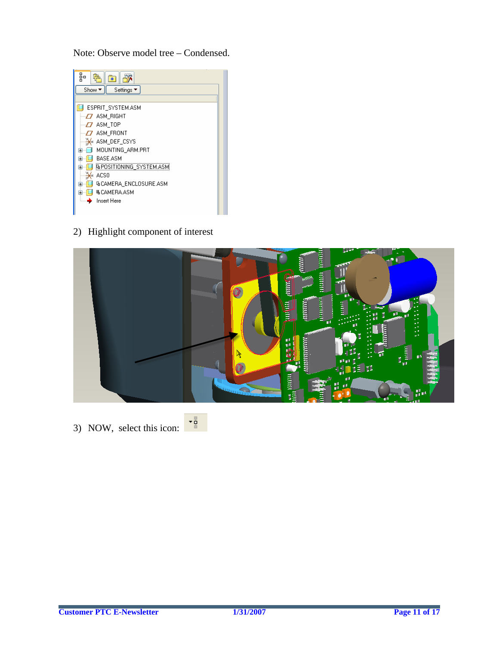Note: Observe model tree – Condensed.

| 品<br>*                         |  |
|--------------------------------|--|
| Show ▼<br>Settings ▼           |  |
|                                |  |
| ESPRIT SYSTEM.ASM              |  |
| $-\sqrt{2}$ ASM_RIGHT          |  |
| $-D$ ASM TOP                   |  |
| $-\sqrt{2}$ ASM_FRONT          |  |
| ASM_DEF_CSYS                   |  |
| MOUNTING ARM.PRT<br><b>H</b> 1 |  |
| <b>BASE ASM</b>                |  |
| <b>BPOSITIONING SYSTEM.ASM</b> |  |
| ACS0<br>¥.                     |  |
| <b>GCAMERA ENCLOSURE.ASM</b>   |  |
| <b>ILCAMERA ASM</b>            |  |
| <b>Insert Here</b>             |  |
|                                |  |

2) Highlight component of interest



3) NOW, select this icon:  $\frac{1}{\sqrt{2}}$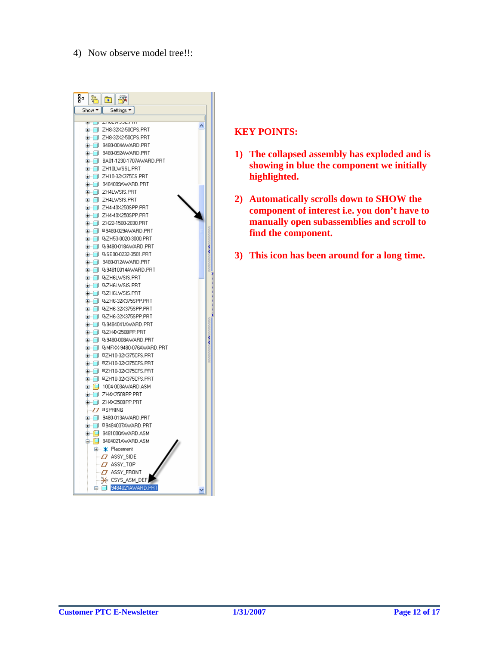#### 4) Now observe model tree!!:



- **1) The collapsed assembly has exploded and is showing in blue the component we initially highlighted.**
- **2) Automatically scrolls down to SHOW the component of interest i.e. you don't have to manually open subassemblies and scroll to find the component.**
- **3) This icon has been around for a long time.**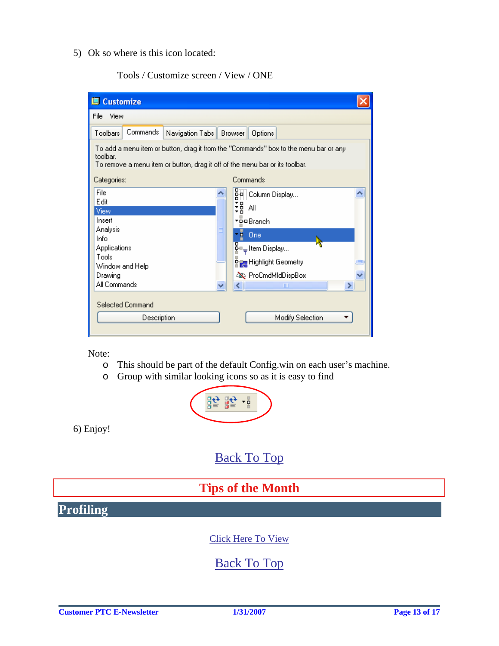<span id="page-12-0"></span>5) Ok so where is this icon located:

Tools / Customize screen / View / ONE

| <b>■ Customize</b>                                                                                                                                                               |                                                                                                                                                                                 |  |  |  |
|----------------------------------------------------------------------------------------------------------------------------------------------------------------------------------|---------------------------------------------------------------------------------------------------------------------------------------------------------------------------------|--|--|--|
| File<br>View                                                                                                                                                                     |                                                                                                                                                                                 |  |  |  |
| Commands<br>Toolbars<br>Navigation Tabs   Browser                                                                                                                                | Options                                                                                                                                                                         |  |  |  |
| To add a menu item or button, drag it from the "Commands" box to the menu bar or any<br>toolbar.<br>To remove a menu item or button, drag it off of the menu bar or its toolbar. |                                                                                                                                                                                 |  |  |  |
| Categories:                                                                                                                                                                      | Commands                                                                                                                                                                        |  |  |  |
| File<br>Edit<br>View<br>Insert<br>Analysis<br>Info<br>Applications<br>Tools<br>Window and Help<br>Drawing<br>All Commands                                                        | 명<br>아이드 Display<br>퍫<br>Αll<br>▼ <u>D</u> a Branch<br>$\frac{1}{2}$ One<br>모<br>앞▀╤ Item Display…<br>ਯੋ <sub>ਕਿਲ</sub> Highlight Geometry<br><b>No.</b> ProCmdMldDispBox<br>ШI |  |  |  |
| <b>Selected Command</b><br>Description                                                                                                                                           | Modify Selection                                                                                                                                                                |  |  |  |

Note:

- o This should be part of the default Config.win on each user's machine.
- o Group with similar looking icons so as it is easy to find



6) Enjoy!

### [Back To Top](#page-0-0)

## **Tips of the Month**

**Profiling**

[Click Here To View](http://members.shaw.ca/jpeng/newsletter/PTC_Technical_Specialists_E-Newsletter_02-01-2007_enterprise.pdf)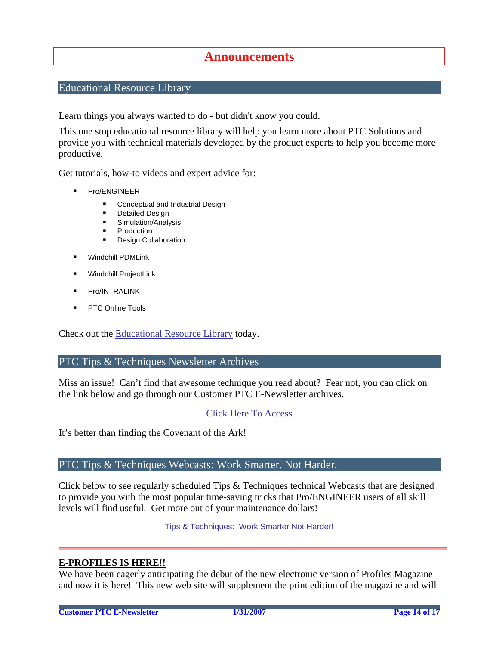### **Announcements**

#### <span id="page-13-0"></span>Educational Resource Library

Learn things you always wanted to do - but didn't know you could.

This one stop educational resource library will help you learn more about PTC Solutions and provide you with technical materials developed by the product experts to help you become more productive.

Get tutorials, how-to videos and expert advice for:

- **Pro/ENGINEER** 
	- **EXECONCEPT** Conceptual and Industrial Design
	- **•** Detailed Design
	- **Simulation/Analysis**
	- Production
	- **Design Collaboration**
- Windchill PDMLink
- Windchill ProjectLink
- Pro/INTRALINK
- PTC Online Tools

Check out the [Educational Resource Library](http://www.ptc.com/community/proewf/newtools/tutorials.htm) today.

#### PTC Tips & Techniques Newsletter Archives

Miss an issue! Can't find that awesome technique you read about? Fear not, you can click on the link below and go through our Customer PTC E-Newsletter archives.

#### [Click Here To Access](http://www.ptc.com/carezone/archive/index.htm)

It's better than finding the Covenant of the Ark!

#### PTC Tips & Techniques Webcasts: Work Smarter. Not Harder.

Click below to see regularly scheduled Tips & Techniques technical Webcasts that are designed to provide you with the most popular time-saving tricks that Pro/ENGINEER users of all skill levels will find useful. Get more out of your maintenance dollars!

Tips & Techniques: Work Smarter Not Harder!

#### **E-PROFILES IS HERE!!**

We have been eagerly anticipating the debut of the new electronic version of Profiles Magazine and now it is here! This new web site will supplement the print edition of the magazine and will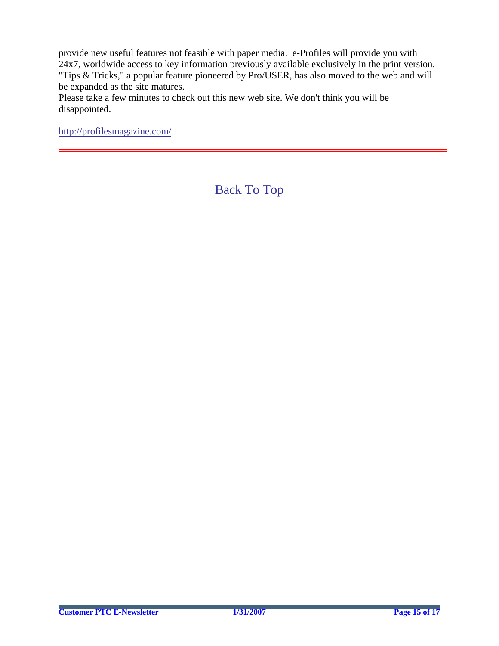provide new useful features not feasible with paper media. e-Profiles will provide you with 24x7, worldwide access to key information previously available exclusively in the print version. "Tips & Tricks," a popular feature pioneered by Pro/USER, has also moved to the web and will be expanded as the site matures.

Please take a few minutes to check out this new web site. We don't think you will be disappointed.

<http://profilesmagazine.com/>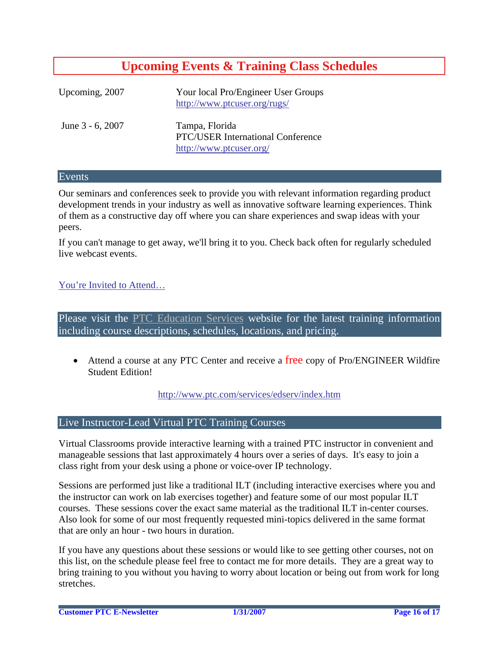### **Upcoming Events & Training Class Schedules**

<span id="page-15-0"></span>

| Upcoming, 2007   | Your local Pro/Engineer User Groups<br>http://www.ptcuser.org/rugs/                   |
|------------------|---------------------------------------------------------------------------------------|
| June 3 - 6, 2007 | Tampa, Florida<br><b>PTC/USER International Conference</b><br>http://www.ptcuser.org/ |

#### Events

Our seminars and conferences seek to provide you with relevant information regarding product development trends in your industry as well as innovative software learning experiences. Think of them as a constructive day off where you can share experiences and swap ideas with your peers.

If you can't manage to get away, we'll bring it to you. Check back often for regularly scheduled live webcast events.

#### [You're Invited to Attend…](http://www.ptc.com/company/news/events/index.htm)

Please visit the [PTC Education Services](http://www.ptc.com/services/edserv/) website for the latest training information including course descriptions, schedules, locations, and pricing.

• Attend a course at any PTC Center and receive a free copy of Pro/ENGINEER Wildfire Student Edition!

<http://www.ptc.com/services/edserv/index.htm>

#### Live Instructor-Lead Virtual PTC Training Courses

Virtual Classrooms provide interactive learning with a trained PTC instructor in convenient and manageable sessions that last approximately 4 hours over a series of days. It's easy to join a class right from your desk using a phone or voice-over IP technology.

Sessions are performed just like a traditional ILT (including interactive exercises where you and the instructor can work on lab exercises together) and feature some of our most popular ILT courses. These sessions cover the exact same material as the traditional ILT in-center courses. Also look for some of our most frequently requested mini-topics delivered in the same format that are only an hour - two hours in duration.

If you have any questions about these sessions or would like to see getting other courses, not on this list, on the schedule please feel free to contact me for more details. They are a great way to bring training to you without you having to worry about location or being out from work for long stretches.